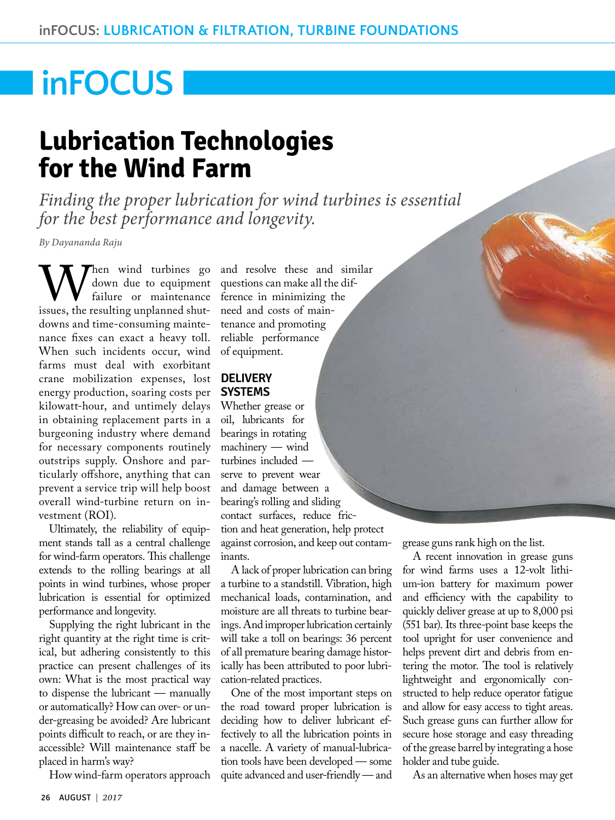# **inFOCUS**

# **Lubrication Technologies for the Wind Farm**

*Finding the proper lubrication for wind turbines is essential for the best performance and longevity.*

*By Dayananda Raju*

When wind turbines go<br>failure or maintenance<br>issues, the resulting unplanned shutdown due to equipment failure or maintenance downs and time-consuming maintenance fixes can exact a heavy toll. When such incidents occur, wind farms must deal with exorbitant crane mobilization expenses, lost energy production, soaring costs per kilowatt-hour, and untimely delays in obtaining replacement parts in a burgeoning industry where demand for necessary components routinely outstrips supply. Onshore and particularly offshore, anything that can prevent a service trip will help boost overall wind-turbine return on investment (ROI).

Ultimately, the reliability of equipment stands tall as a central challenge for wind-farm operators. This challenge extends to the rolling bearings at all points in wind turbines, whose proper lubrication is essential for optimized performance and longevity.

Supplying the right lubricant in the right quantity at the right time is critical, but adhering consistently to this practice can present challenges of its own: What is the most practical way to dispense the lubricant — manually or automatically? How can over- or under-greasing be avoided? Are lubricant points difficult to reach, or are they inaccessible? Will maintenance staff be placed in harm's way?

How wind-farm operators approach

and resolve these and similar questions can make all the difference in minimizing the need and costs of maintenance and promoting reliable performance of equipment.

### **DELIVERY SYSTEMS**

Whether grease or oil, lubricants for bearings in rotating machinery — wind turbines included serve to prevent wear and damage between a bearing's rolling and sliding contact surfaces, reduce friction and heat generation, help protect against corrosion, and keep out contaminants.

A lack of proper lubrication can bring a turbine to a standstill. Vibration, high mechanical loads, contamination, and moisture are all threats to turbine bearings. And improper lubrication certainly will take a toll on bearings: 36 percent of all premature bearing damage historically has been attributed to poor lubrication-related practices.

One of the most important steps on the road toward proper lubrication is deciding how to deliver lubricant effectively to all the lubrication points in a nacelle. A variety of manual-lubrication tools have been developed — some quite advanced and user-friendly — and grease guns rank high on the list.

A recent innovation in grease guns for wind farms uses a 12-volt lithium-ion battery for maximum power and efficiency with the capability to quickly deliver grease at up to 8,000 psi (551 bar). Its three-point base keeps the tool upright for user convenience and helps prevent dirt and debris from entering the motor. The tool is relatively lightweight and ergonomically constructed to help reduce operator fatigue and allow for easy access to tight areas. Such grease guns can further allow for secure hose storage and easy threading of the grease barrel by integrating a hose holder and tube guide.

As an alternative when hoses may get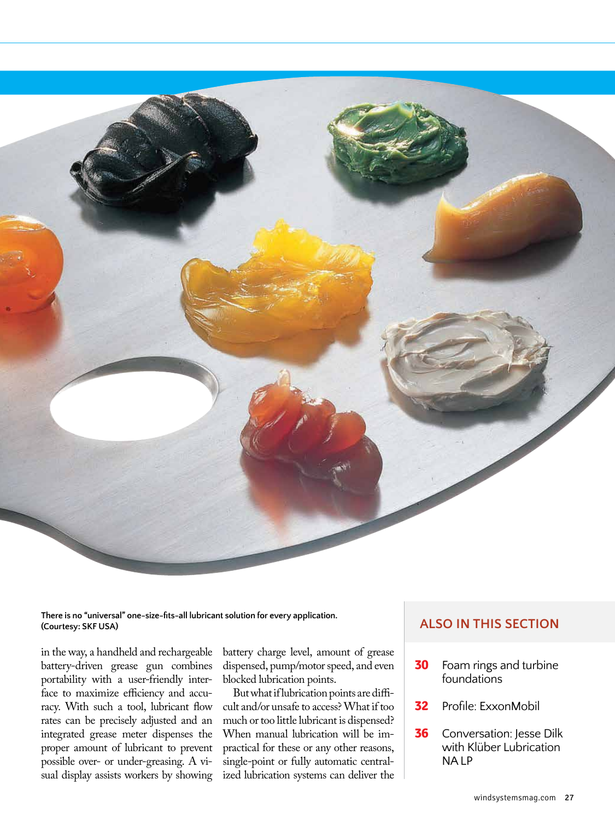

**There is no "universal" one-size-fits-all lubricant solution for every application. (Courtesy: SKF USA)**

in the way, a handheld and rechargeable battery-driven grease gun combines portability with a user-friendly interface to maximize efficiency and accuracy. With such a tool, lubricant flow rates can be precisely adjusted and an integrated grease meter dispenses the proper amount of lubricant to prevent possible over- or under-greasing. A visual display assists workers by showing

battery charge level, amount of grease dispensed, pump/motor speed, and even blocked lubrication points.

But what if lubrication points are difficult and/or unsafe to access? What if too much or too little lubricant is dispensed? When manual lubrication will be impractical for these or any other reasons, single-point or fully automatic centralized lubrication systems can deliver the

### **ALSO IN THIS SECTION**

- **30** [Foam rings and turbine](#page-4-0)  foundations
- **32** Profile: ExxonMobil
- **36** Conversation: Jesse Dilk with Klüber Lubrication NA LP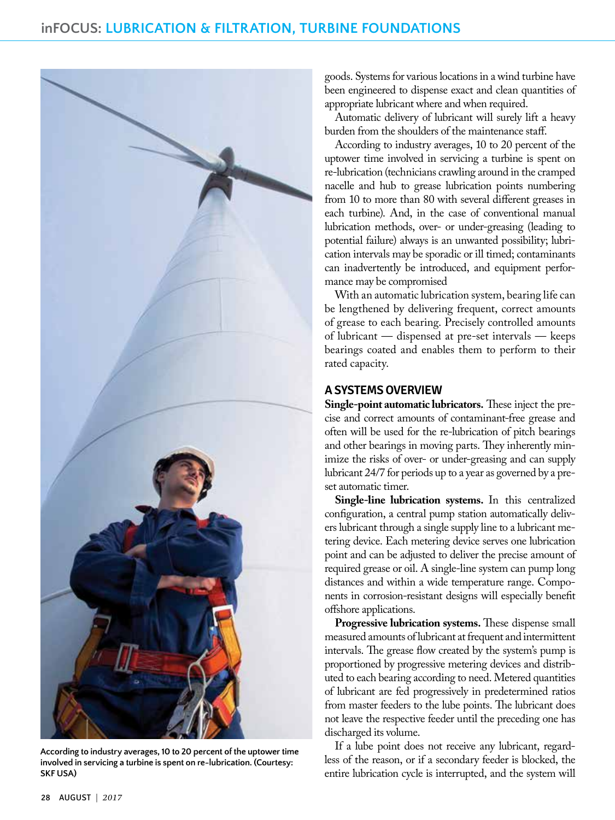

**According to industry averages, 10 to 20 percent of the uptower time involved in servicing a turbine is spent on re-lubrication. (Courtesy: SKF USA)**

goods. Systems for various locations in a wind turbine have been engineered to dispense exact and clean quantities of appropriate lubricant where and when required.

Automatic delivery of lubricant will surely lift a heavy burden from the shoulders of the maintenance staff.

According to industry averages, 10 to 20 percent of the uptower time involved in servicing a turbine is spent on re-lubrication (technicians crawling around in the cramped nacelle and hub to grease lubrication points numbering from 10 to more than 80 with several different greases in each turbine). And, in the case of conventional manual lubrication methods, over- or under-greasing (leading to potential failure) always is an unwanted possibility; lubrication intervals may be sporadic or ill timed; contaminants can inadvertently be introduced, and equipment performance may be compromised

With an automatic lubrication system, bearing life can be lengthened by delivering frequent, correct amounts of grease to each bearing. Precisely controlled amounts of lubricant — dispensed at pre-set intervals — keeps bearings coated and enables them to perform to their rated capacity.

### **A SYSTEMS OVERVIEW**

**Single-point automatic lubricators.** These inject the precise and correct amounts of contaminant-free grease and often will be used for the re-lubrication of pitch bearings and other bearings in moving parts. They inherently minimize the risks of over- or under-greasing and can supply lubricant 24/7 for periods up to a year as governed by a preset automatic timer.

**Single-line lubrication systems.** In this centralized configuration, a central pump station automatically delivers lubricant through a single supply line to a lubricant metering device. Each metering device serves one lubrication point and can be adjusted to deliver the precise amount of required grease or oil. A single-line system can pump long distances and within a wide temperature range. Components in corrosion-resistant designs will especially benefit offshore applications.

**Progressive lubrication systems.** These dispense small measured amounts of lubricant at frequent and intermittent intervals. The grease flow created by the system's pump is proportioned by progressive metering devices and distributed to each bearing according to need. Metered quantities of lubricant are fed progressively in predetermined ratios from master feeders to the lube points. The lubricant does not leave the respective feeder until the preceding one has discharged its volume.

If a lube point does not receive any lubricant, regardless of the reason, or if a secondary feeder is blocked, the entire lubrication cycle is interrupted, and the system will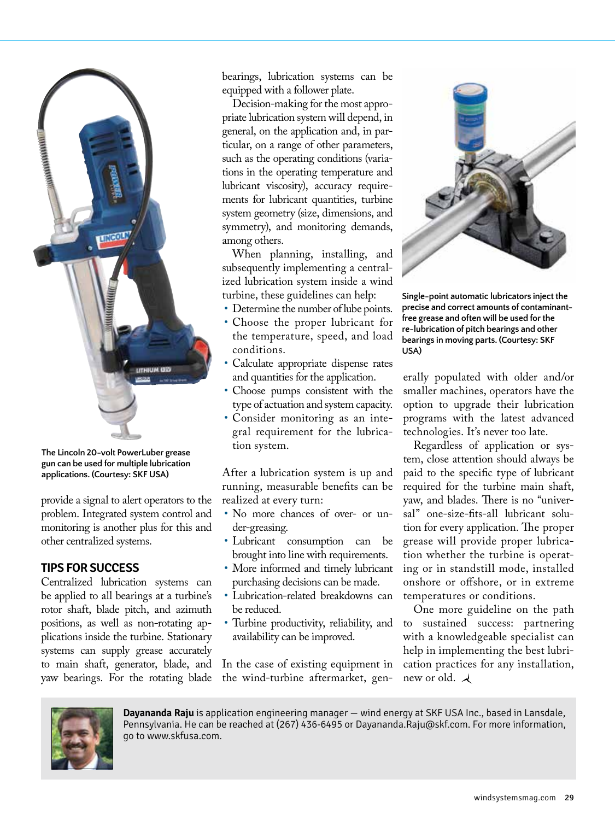

**The Lincoln 20-volt PowerLuber grease gun can be used for multiple lubrication applications. (Courtesy: SKF USA)**

provide a signal to alert operators to the problem. Integrated system control and monitoring is another plus for this and other centralized systems.

### **TIPS FOR SUCCESS**

Centralized lubrication systems can be applied to all bearings at a turbine's rotor shaft, blade pitch, and azimuth positions, as well as non-rotating applications inside the turbine. Stationary systems can supply grease accurately to main shaft, generator, blade, and yaw bearings. For the rotating blade

bearings, lubrication systems can be equipped with a follower plate.

Decision-making for the most appropriate lubrication system will depend, in general, on the application and, in particular, on a range of other parameters, such as the operating conditions (variations in the operating temperature and lubricant viscosity), accuracy requirements for lubricant quantities, turbine system geometry (size, dimensions, and symmetry), and monitoring demands, among others.

When planning, installing, and subsequently implementing a centralized lubrication system inside a wind turbine, these guidelines can help:

- Determine the number of lube points.
- Choose the proper lubricant for the temperature, speed, and load conditions.
- Calculate appropriate dispense rates and quantities for the application.
- Choose pumps consistent with the type of actuation and system capacity.
- Consider monitoring as an integral requirement for the lubrication system.

After a lubrication system is up and running, measurable benefits can be realized at every turn:

- No more chances of over- or under-greasing.
- Lubricant consumption can be brought into line with requirements.
- More informed and timely lubricant purchasing decisions can be made.
- Lubrication-related breakdowns can be reduced.
- Turbine productivity, reliability, and availability can be improved.

In the case of existing equipment in the wind-turbine aftermarket, gen-



**Single-point automatic lubricators inject the precise and correct amounts of contaminantfree grease and often will be used for the re-lubrication of pitch bearings and other bearings in moving parts. (Courtesy: SKF USA)**

erally populated with older and/or smaller machines, operators have the option to upgrade their lubrication programs with the latest advanced technologies. It's never too late.

Regardless of application or system, close attention should always be paid to the specific type of lubricant required for the turbine main shaft, yaw, and blades. There is no "universal" one-size-fits-all lubricant solution for every application. The proper grease will provide proper lubrication whether the turbine is operating or in standstill mode, installed onshore or offshore, or in extreme temperatures or conditions.

One more guideline on the path to sustained success: partnering with a knowledgeable specialist can help in implementing the best lubrication practices for any installation, new or old.  $\lambda$ 



**Dayananda Raju** is application engineering manager — wind energy at SKF USA Inc., based in Lansdale, Pennsylvania. He can be reached at (267) 436-6495 [or Dayananda.Raju@skf.com. F](mailto:Dayananda.Raju@skf.com?subject=Referred by Wind Systems)or more information, go to [www.skfusa.com.](http://www.skfusa.com)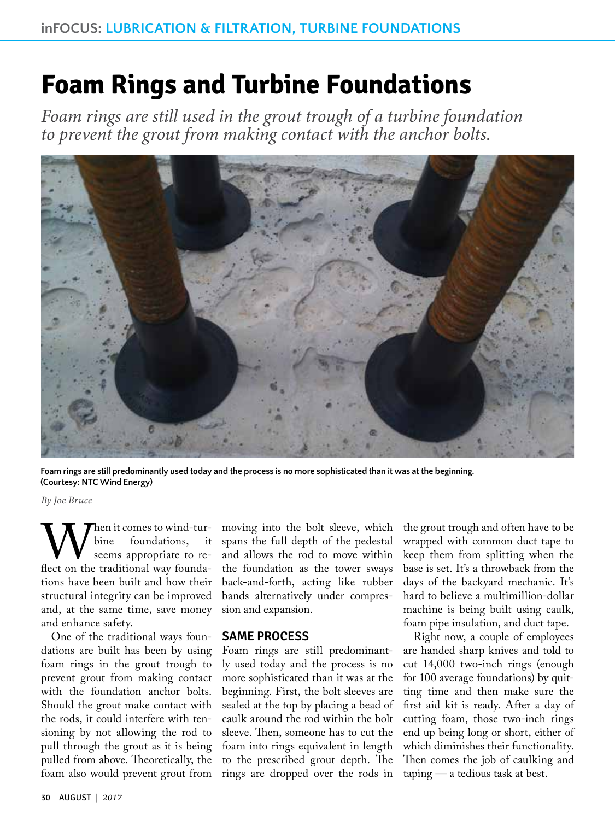## <span id="page-4-0"></span>**Foam Rings and Turbine Foundations**

*Foam rings are still used in the grout trough of a turbine foundation to prevent the grout from making contact with the anchor bolts.*



**Foam rings are still predominantly used today and the process is no more sophisticated than it was at the beginning. (Courtesy: NTC Wind Energy)**

*By Joe Bruce*

When it comes to wind-tur-<br>seems appropriate to re-<br>flect on the traditional way foundabine foundations, it seems appropriate to retions have been built and how their structural integrity can be improved and, at the same time, save money and enhance safety.

One of the traditional ways foundations are built has been by using foam rings in the grout trough to prevent grout from making contact with the foundation anchor bolts. Should the grout make contact with the rods, it could interfere with tensioning by not allowing the rod to pull through the grout as it is being pulled from above. Theoretically, the foam also would prevent grout from

moving into the bolt sleeve, which spans the full depth of the pedestal and allows the rod to move within the foundation as the tower sways back-and-forth, acting like rubber bands alternatively under compression and expansion.

#### **SAME PROCESS**

Foam rings are still predominantly used today and the process is no more sophisticated than it was at the beginning. First, the bolt sleeves are sealed at the top by placing a bead of caulk around the rod within the bolt sleeve. Then, someone has to cut the foam into rings equivalent in length to the prescribed grout depth. The rings are dropped over the rods in

the grout trough and often have to be wrapped with common duct tape to keep them from splitting when the base is set. It's a throwback from the days of the backyard mechanic. It's hard to believe a multimillion-dollar machine is being built using caulk, foam pipe insulation, and duct tape.

Right now, a couple of employees are handed sharp knives and told to cut 14,000 two-inch rings (enough for 100 average foundations) by quitting time and then make sure the first aid kit is ready. After a day of cutting foam, those two-inch rings end up being long or short, either of which diminishes their functionality. Then comes the job of caulking and taping — a tedious task at best.